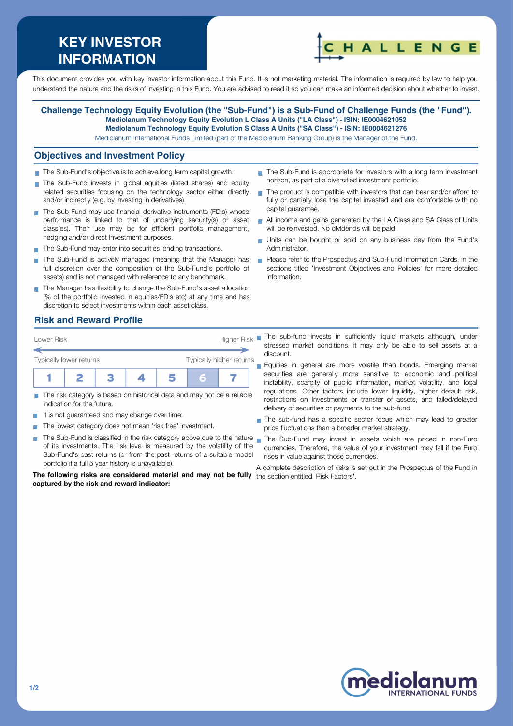# **KEY INVESTOR INFORMATION**



This document provides you with key investor information about this Fund. It is not marketing material. The information is required by law to help you understand the nature and the risks of investing in this Fund. You are advised to read it so you can make an informed decision about whether to invest.

#### **Challenge Technology Equity Evolution (the "Sub-Fund") is a Sub-Fund of Challenge Funds (the "Fund"). Mediolanum Technology Equity Evolution L Class A Units ("LA Class") - ISIN: IE0004621052 Mediolanum Technology Equity Evolution S Class A Units ("SA Class") - ISIN: IE0004621276**

Mediolanum International Funds Limited (part of the Mediolanum Banking Group) is the Manager of the Fund.

#### **Objectives and Investment Policy**

- The Sub-Fund's objective is to achieve long term capital growth.
- The Sub-Fund invests in global equities (listed shares) and equity related securities focusing on the technology sector either directly and/or indirectly (e.g. by investing in derivatives).
- The Sub-Fund may use financial derivative instruments (FDIs) whose performance is linked to that of underlying security(s) or asset class(es). Their use may be for efficient portfolio management, hedging and/or direct Investment purposes.
- The Sub-Fund may enter into securities lending transactions.
- The Sub-Fund is actively managed (meaning that the Manager has  $\Box$ full discretion over the composition of the Sub-Fund's portfolio of assets) and is not managed with reference to any benchmark.
- The Manager has flexibility to change the Sub-Fund's asset allocation (% of the portfolio invested in equities/FDIs etc) at any time and has discretion to select investments within each asset class.

### **Risk and Reward Profile**



- The risk category is based on historical data and may not be a reliable indication for the future.
- It is not guaranteed and may change over time.
- The lowest category does not mean 'risk free' investment.  $\sim$
- $\sim$ of its investments. The risk level is measured by the volatility of the Sub-Fund's past returns (or from the past returns of a suitable model portfolio if a full 5 year history is unavailable).

**The following risks are considered material and may not be fully** the section entitled 'Risk Factors'.**captured by the risk and reward indicator:**

- The Sub-Fund is appropriate for investors with a long term investment horizon, as part of a diversified investment portfolio.
- The product is compatible with investors that can bear and/or afford to fully or partially lose the capital invested and are comfortable with no capital guarantee.
- All income and gains generated by the LA Class and SA Class of Units will be reinvested. No dividends will be paid.
- Units can be bought or sold on any business day from the Fund's Administrator.
- Please refer to the Prospectus and Sub-Fund Information Cards, in the sections titled 'Investment Objectives and Policies' for more detailed information.
- stressed market conditions, it may only be able to sell assets at a discount.
- Equities in general are more volatile than bonds. Emerging market securities are generally more sensitive to economic and political instability, scarcity of public information, market volatility, and local regulations. Other factors include lower liquidity, higher default risk, restrictions on Investments or transfer of assets, and failed/delayed delivery of securities or payments to the sub-fund.
- The sub-fund has a specific sector focus which may lead to greater price fluctuations than a broader market strategy.
- The Sub-Fund is classified in the risk category above due to the nature nan the Sub-Fund may invest in assets which are priced in non-Euro currencies. Therefore, the value of your investment may fall if the Euro rises in value against those currencies.

A complete description of risks is set out in the Prospectus of the Fund in